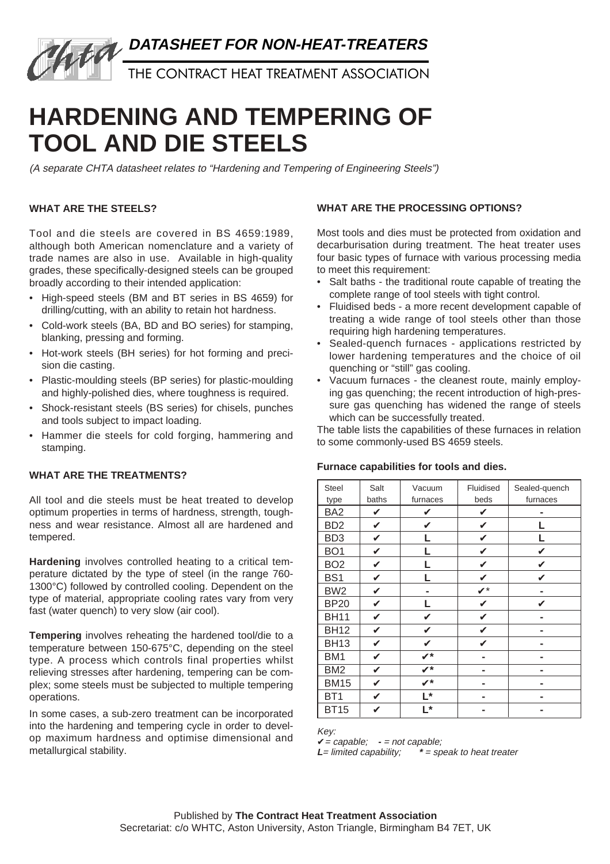

THE CONTRACT HEAT TREATMENT ASSOCIATION

# **HARDENING AND TEMPERING OF TOOL AND DIE STEELS**

(A separate CHTA datasheet relates to "Hardening and Tempering of Engineering Steels")

# **WHAT ARE THE STEELS?**

Tool and die steels are covered in BS 4659:1989, although both American nomenclature and a variety of trade names are also in use. Available in high-quality grades, these specifically-designed steels can be grouped broadly according to their intended application:

- High-speed steels (BM and BT series in BS 4659) for drilling/cutting, with an ability to retain hot hardness.
- Cold-work steels (BA, BD and BO series) for stamping, blanking, pressing and forming.
- Hot-work steels (BH series) for hot forming and precision die casting.
- Plastic-moulding steels (BP series) for plastic-moulding and highly-polished dies, where toughness is required.
- Shock-resistant steels (BS series) for chisels, punches and tools subject to impact loading.
- Hammer die steels for cold forging, hammering and stamping.

# **WHAT ARE THE TREATMENTS?**

All tool and die steels must be heat treated to develop optimum properties in terms of hardness, strength, toughness and wear resistance. Almost all are hardened and tempered.

**Hardening** involves controlled heating to a critical temperature dictated by the type of steel (in the range 760- 1300°C) followed by controlled cooling. Dependent on the type of material, appropriate cooling rates vary from very fast (water quench) to very slow (air cool).

**Tempering** involves reheating the hardened tool/die to a temperature between 150-675°C, depending on the steel type. A process which controls final properties whilst relieving stresses after hardening, tempering can be complex; some steels must be subjected to multiple tempering operations.

In some cases, a sub-zero treatment can be incorporated into the hardening and tempering cycle in order to develop maximum hardness and optimise dimensional and metallurgical stability.

# **WHAT ARE THE PROCESSING OPTIONS?**

Most tools and dies must be protected from oxidation and decarburisation during treatment. The heat treater uses four basic types of furnace with various processing media to meet this requirement:

- Salt baths the traditional route capable of treating the complete range of tool steels with tight control.
- Fluidised beds a more recent development capable of treating a wide range of tool steels other than those requiring high hardening temperatures.
- Sealed-quench furnaces applications restricted by lower hardening temperatures and the choice of oil quenching or "still" gas cooling.
- Vacuum furnaces the cleanest route, mainly employing gas quenching; the recent introduction of high-pressure gas quenching has widened the range of steels which can be successfully treated.

The table lists the capabilities of these furnaces in relation to some commonly-used BS 4659 steels.

| <b>Steel</b>    | Salt         | Vacuum   | Fluidised            | Sealed-quench |
|-----------------|--------------|----------|----------------------|---------------|
| type            | baths        | furnaces | beds                 | furnaces      |
| BA <sub>2</sub> | V            | ✓        | ✓                    |               |
| BD <sub>2</sub> | V            |          | ✔                    |               |
| BD <sub>3</sub> | $\checkmark$ |          | ✓                    |               |
| BO <sub>1</sub> | V            |          | ✓                    |               |
| BO <sub>2</sub> | V            |          | V                    |               |
| BS <sub>1</sub> | V            |          | ✓                    |               |
| BW <sub>2</sub> | V            |          | $\boldsymbol{\nu}^*$ |               |
| <b>BP20</b>     |              |          |                      |               |
| <b>BH11</b>     |              |          |                      |               |
| <b>BH12</b>     |              |          |                      |               |
| <b>BH13</b>     | V            |          |                      |               |
| BM <sub>1</sub> | V            | ✔        |                      |               |
| BM <sub>2</sub> | V            | V*       |                      |               |
| <b>BM15</b>     | V            | ╱∗       |                      |               |
| BT <sub>1</sub> | V            | L*       |                      |               |
| <b>BT15</b>     |              | ∣ *      |                      |               |

**Furnace capabilities for tools and dies.**

Key:

✔= capable; **-** = not capable;  $*$  = speak to heat treater